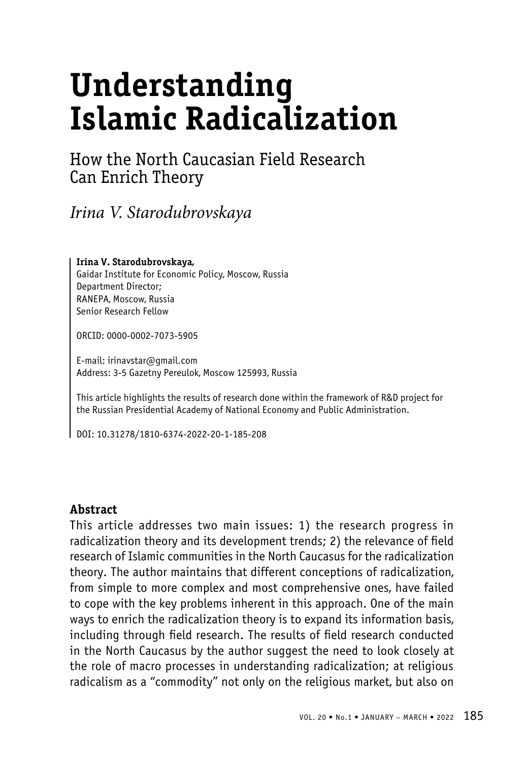# **Understanding Islamic Radicalization**

# How the North Caucasian Field Research Can Enrich Theory

*Irina V. Starodubrovskaya*

#### **Irina V. Starodubrovskaya,**

Gaidar Institute for Economic Policy, Moscow, Russia Department Director; RANEPA, Moscow, Russia Senior Research Fellow

ORCID: 0000-0002-7073-5905

E-mail: irinavstar@gmail.com Address: 3-5 Gazetny Pereulok, Moscow 125993, Russia

This article highlights the results of research done within the framework of R&D project for the Russian Presidential Academy of National Economy and Public Administration.

DOI: 10.31278/1810-6374-2022-20-1-185-208

#### **Abstract**

This article addresses two main issues: 1) the research progress in radicalization theory and its development trends; 2) the relevance of field research of Islamic communities in the North Caucasus for the radicalization theory. The author maintains that different conceptions of radicalization, from simple to more complex and most comprehensive ones, have failed to cope with the key problems inherent in this approach. One of the main ways to enrich the radicalization theory is to expand its information basis, including through field research. The results of field research conducted in the North Caucasus by the author suggest the need to look closely at the role of macro processes in understanding radicalization; at religious radicalism as a "commodity" not only on the religious market, but also on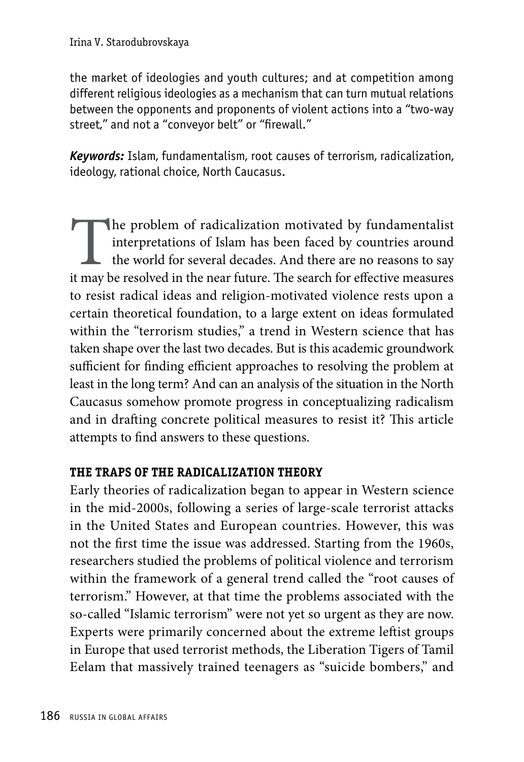the market of ideologies and youth cultures; and at competition among different religious ideologies as a mechanism that can turn mutual relations between the opponents and proponents of violent actions into a "two-way street," and not a "conveyor belt" or "firewall."

*Keywords:* Islam, fundamentalism, root causes of terrorism, radicalization, ideology, rational choice, North Caucasus.

The problem of radicalization motivated by fundamentalist interpretations of Islam has been faced by countries around the world for several decades. And there are no reasons to say it may be resolved in the near future. Th interpretations of Islam has been faced by countries around the world for several decades. And there are no reasons to say it may be resolved in the near future. The search for effective measures to resist radical ideas and religion-motivated violence rests upon a certain theoretical foundation, to a large extent on ideas formulated within the "terrorism studies," a trend in Western science that has taken shape over the last two decades. But is this academic groundwork sufficient for finding efficient approaches to resolving the problem at least in the long term? And can an analysis of the situation in the North Caucasus somehow promote progress in conceptualizing radicalism and in drafting concrete political measures to resist it? This article attempts to find answers to these questions.

# **THE TRAPS OF THE RADICALIZATION THEORY**

Early theories of radicalization began to appear in Western science in the mid-2000s, following a series of large-scale terrorist attacks in the United States and European countries. However, this was not the first time the issue was addressed. Starting from the 1960s, researchers studied the problems of political violence and terrorism within the framework of a general trend called the "root causes of terrorism." However, at that time the problems associated with the so-called "Islamic terrorism" were not yet so urgent as they are now. Experts were primarily concerned about the extreme leftist groups in Europe that used terrorist methods, the Liberation Tigers of Tamil Eelam that massively trained teenagers as "suicide bombers," and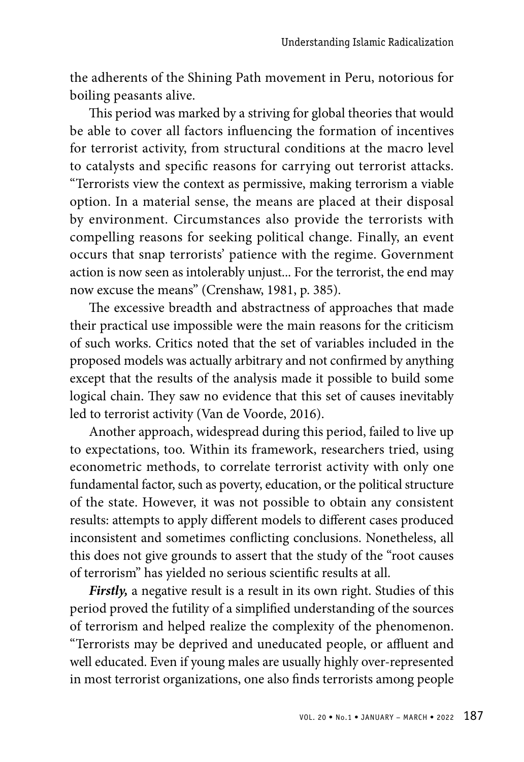the adherents of the Shining Path movement in Peru, notorious for boiling peasants alive.

This period was marked by a striving for global theories that would be able to cover all factors influencing the formation of incentives for terrorist activity, from structural conditions at the macro level to catalysts and specific reasons for carrying out terrorist attacks. "Terrorists view the context as permissive, making terrorism a viable option. In a material sense, the means are placed at their disposal by environment. Circumstances also provide the terrorists with compelling reasons for seeking political change. Finally, an event occurs that snap terrorists' patience with the regime. Government action is now seen as intolerably unjust... For the terrorist, the end may now excuse the means" (Crenshaw, 1981, p. 385).

The excessive breadth and abstractness of approaches that made their practical use impossible were the main reasons for the criticism of such works. Critics noted that the set of variables included in the proposed models was actually arbitrary and not confirmed by anything except that the results of the analysis made it possible to build some logical chain. They saw no evidence that this set of causes inevitably led to terrorist activity (Van de Voorde, 2016).

Another approach, widespread during this period, failed to live up to expectations, too. Within its framework, researchers tried, using econometric methods, to correlate terrorist activity with only one fundamental factor, such as poverty, education, or the political structure of the state. However, it was not possible to obtain any consistent results: attempts to apply different models to different cases produced inconsistent and sometimes conflicting conclusions. Nonetheless, all this does not give grounds to assert that the study of the "root causes of terrorism" has yielded no serious scientific results at all.

*Firstly,* a negative result is a result in its own right. Studies of this period proved the futility of a simplified understanding of the sources of terrorism and helped realize the complexity of the phenomenon. "Terrorists may be deprived and uneducated people, or affluent and well educated. Even if young males are usually highly over-represented in most terrorist organizations, one also finds terrorists among people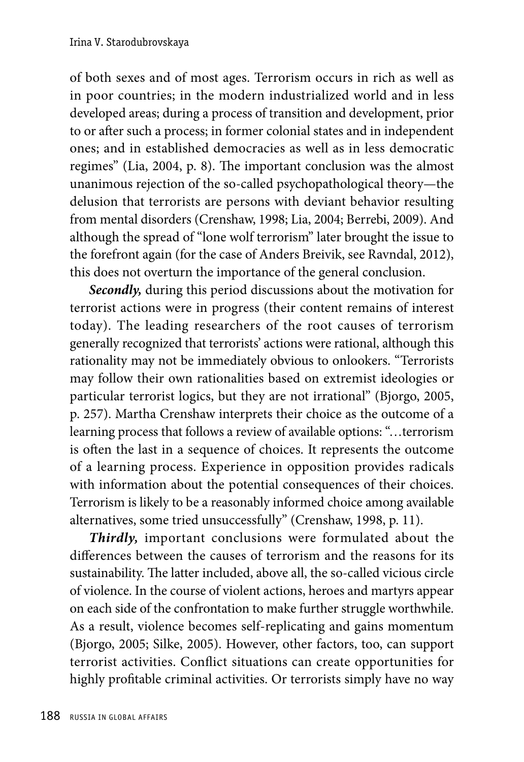of both sexes and of most ages. Terrorism occurs in rich as well as in poor countries; in the modern industrialized world and in less developed areas; during a process of transition and development, prior to or after such a process; in former colonial states and in independent ones; and in established democracies as well as in less democratic regimes" (Lia, 2004, p. 8). The important conclusion was the almost unanimous rejection of the so-called psychopathological theory—the delusion that terrorists are persons with deviant behavior resulting from mental disorders (Crenshaw, 1998; Lia, 2004; Berrebi, 2009). And although the spread of "lone wolf terrorism" later brought the issue to the forefront again (for the case of Anders Breivik, see Ravndal, 2012), this does not overturn the importance of the general conclusion.

*Secondly,* during this period discussions about the motivation for terrorist actions were in progress (their content remains of interest today). The leading researchers of the root causes of terrorism generally recognized that terrorists' actions were rational, although this rationality may not be immediately obvious to onlookers. "Terrorists may follow their own rationalities based on extremist ideologies or particular terrorist logics, but they are not irrational" (Bjorgo, 2005, p. 257). Martha Crenshaw interprets their choice as the outcome of a learning process that follows a review of available options: "…terrorism is often the last in a sequence of choices. It represents the outcome of a learning process. Experience in opposition provides radicals with information about the potential consequences of their choices. Terrorism is likely to be a reasonably informed choice among available alternatives, some tried unsuccessfully" (Crenshaw, 1998, p. 11).

*Thirdly,* important conclusions were formulated about the differences between the causes of terrorism and the reasons for its sustainability. The latter included, above all, the so-called vicious circle of violence. In the course of violent actions, heroes and martyrs appear on each side of the confrontation to make further struggle worthwhile. As a result, violence becomes self-replicating and gains momentum (Bjorgo, 2005; Silke, 2005). However, other factors, too, can support terrorist activities. Conflict situations can create opportunities for highly profitable criminal activities. Or terrorists simply have no way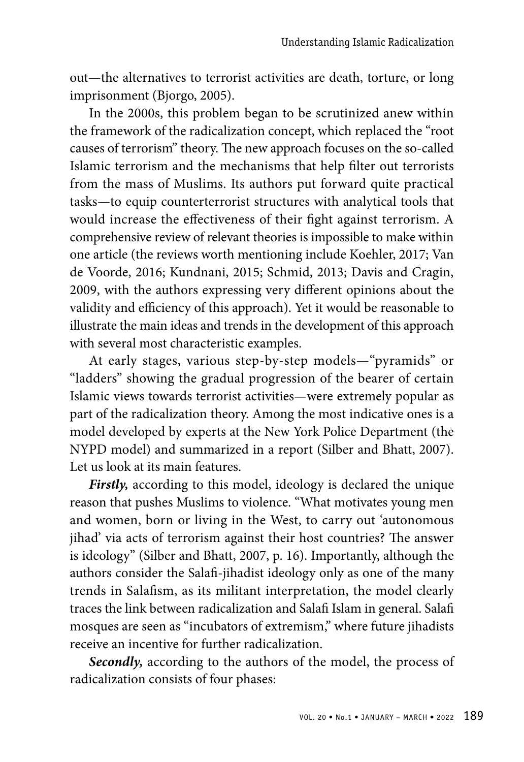out—the alternatives to terrorist activities are death, torture, or long imprisonment (Bjorgo, 2005).

In the 2000s, this problem began to be scrutinized anew within the framework of the radicalization concept, which replaced the "root causes of terrorism" theory. The new approach focuses on the so-called Islamic terrorism and the mechanisms that help filter out terrorists from the mass of Muslims. Its authors put forward quite practical tasks—to equip counterterrorist structures with analytical tools that would increase the effectiveness of their fight against terrorism. A comprehensive review of relevant theories is impossible to make within one article (the reviews worth mentioning include Koehler, 2017; Van de Voorde, 2016; Kundnani, 2015; Schmid, 2013; Davis and Cragin, 2009, with the authors expressing very different opinions about the validity and efficiency of this approach). Yet it would be reasonable to illustrate the main ideas and trends in the development of this approach with several most characteristic examples.

At early stages, various step-by-step models—"pyramids" or "ladders" showing the gradual progression of the bearer of certain Islamic views towards terrorist activities—were extremely popular as part of the radicalization theory. Among the most indicative ones is a model developed by experts at the New York Police Department (the NYPD model) and summarized in a report (Silber and Bhatt, 2007). Let us look at its main features.

*Firstly,* according to this model, ideology is declared the unique reason that pushes Muslims to violence. "What motivates young men and women, born or living in the West, to carry out 'autonomous jihad' via acts of terrorism against their host countries? The answer is ideology" (Silber and Bhatt, 2007, p. 16). Importantly, although the authors consider the Salafi-jihadist ideology only as one of the many trends in Salafism, as its militant interpretation, the model clearly traces the link between radicalization and Salafi Islam in general. Salafi mosques are seen as "incubators of extremism," where future jihadists receive an incentive for further radicalization.

*Secondly,* according to the authors of the model, the process of radicalization consists of four phases: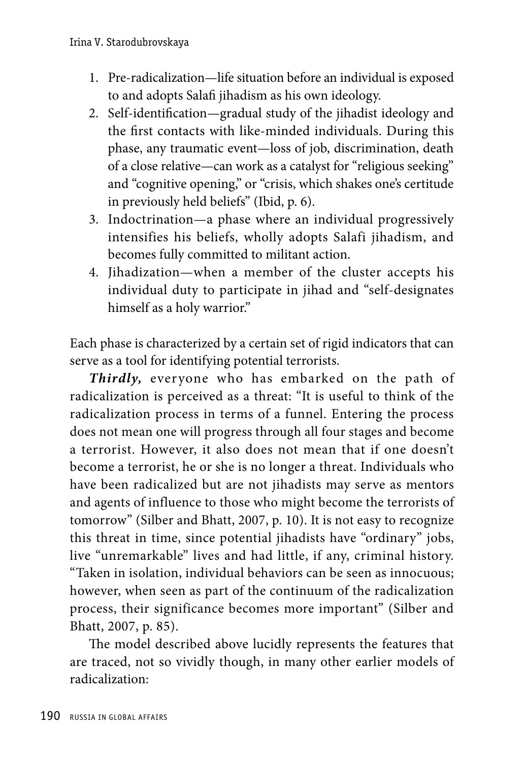- 1. Pre-radicalization—life situation before an individual is exposed to and adopts Salafi jihadism as his own ideology.
- 2. Self-identification—gradual study of the jihadist ideology and the first contacts with like-minded individuals. During this phase, any traumatic event—loss of job, discrimination, death of a close relative—can work as a catalyst for "religious seeking" and "cognitive opening," or "crisis, which shakes one's certitude in previously held beliefs" (Ibid, p. 6).
- 3. Indoctrination—a phase where an individual progressively intensifies his beliefs, wholly adopts Salafi jihadism, and becomes fully committed to militant action.
- 4. Jihadization—when a member of the cluster accepts his individual duty to participate in jihad and "self-designates himself as a holy warrior."

Each phase is characterized by a certain set of rigid indicators that can serve as a tool for identifying potential terrorists.

*Thirdly,* everyone who has embarked on the path of radicalization is perceived as a threat: "It is useful to think of the radicalization process in terms of a funnel. Entering the process does not mean one will progress through all four stages and become a terrorist. However, it also does not mean that if one doesn't become a terrorist, he or she is no longer a threat. Individuals who have been radicalized but are not jihadists may serve as mentors and agents of influence to those who might become the terrorists of tomorrow" (Silber and Bhatt, 2007, p. 10). It is not easy to recognize this threat in time, since potential jihadists have "ordinary" jobs, live "unremarkable" lives and had little, if any, criminal history. "Taken in isolation, individual behaviors can be seen as innocuous; however, when seen as part of the continuum of the radicalization process, their significance becomes more important" (Silber and Bhatt, 2007, p. 85).

The model described above lucidly represents the features that are traced, not so vividly though, in many other earlier models of radicalization: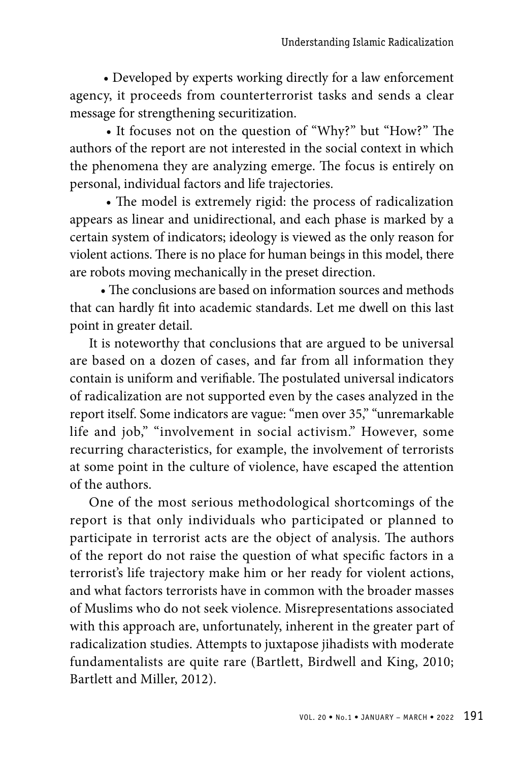• Developed by experts working directly for a law enforcement agency, it proceeds from counterterrorist tasks and sends a clear message for strengthening securitization.

 • It focuses not on the question of "Why?" but "How?" The authors of the report are not interested in the social context in which the phenomena they are analyzing emerge. The focus is entirely on personal, individual factors and life trajectories.

 • The model is extremely rigid: the process of radicalization appears as linear and unidirectional, and each phase is marked by a certain system of indicators; ideology is viewed as the only reason for violent actions. There is no place for human beings in this model, there are robots moving mechanically in the preset direction.

 • The conclusions are based on information sources and methods that can hardly fit into academic standards. Let me dwell on this last point in greater detail.

It is noteworthy that conclusions that are argued to be universal are based on a dozen of cases, and far from all information they contain is uniform and verifiable. The postulated universal indicators of radicalization are not supported even by the cases analyzed in the report itself. Some indicators are vague: "men over 35," "unremarkable life and job," "involvement in social activism." However, some recurring characteristics, for example, the involvement of terrorists at some point in the culture of violence, have escaped the attention of the authors.

One of the most serious methodological shortcomings of the report is that only individuals who participated or planned to participate in terrorist acts are the object of analysis. The authors of the report do not raise the question of what specific factors in a terrorist's life trajectory make him or her ready for violent actions, and what factors terrorists have in common with the broader masses of Muslims who do not seek violence. Misrepresentations associated with this approach are, unfortunately, inherent in the greater part of radicalization studies. Attempts to juxtapose jihadists with moderate fundamentalists are quite rare (Bartlett, Birdwell and King, 2010; Bartlett and Miller, 2012).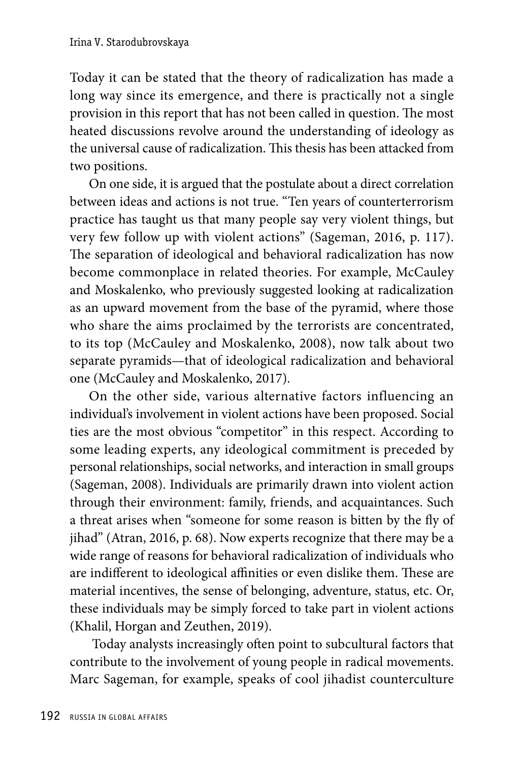Today it can be stated that the theory of radicalization has made a long way since its emergence, and there is practically not a single provision in this report that has not been called in question. The most heated discussions revolve around the understanding of ideology as the universal cause of radicalization. This thesis has been attacked from two positions.

On one side, it is argued that the postulate about a direct correlation between ideas and actions is not true. "Ten years of counterterrorism practice has taught us that many people say very violent things, but very few follow up with violent actions" (Sageman, 2016, p. 117). The separation of ideological and behavioral radicalization has now become commonplace in related theories. For example, McCauley and Moskalenko, who previously suggested looking at radicalization as an upward movement from the base of the pyramid, where those who share the aims proclaimed by the terrorists are concentrated, to its top (McCauley and Moskalenko, 2008), now talk about two separate pyramids—that of ideological radicalization and behavioral one (McCauley and Moskalenko, 2017).

On the other side, various alternative factors influencing an individual's involvement in violent actions have been proposed. Social ties are the most obvious "competitor" in this respect. According to some leading experts, any ideological commitment is preceded by personal relationships, social networks, and interaction in small groups (Sageman, 2008). Individuals are primarily drawn into violent action through their environment: family, friends, and acquaintances. Such a threat arises when "someone for some reason is bitten by the fly of jihad" (Atran, 2016, p. 68). Now experts recognize that there may be a wide range of reasons for behavioral radicalization of individuals who are indifferent to ideological affinities or even dislike them. These are material incentives, the sense of belonging, adventure, status, etc. Or, these individuals may be simply forced to take part in violent actions (Khalil, Horgan and Zeuthen, 2019).

 Today analysts increasingly often point to subcultural factors that contribute to the involvement of young people in radical movements. Marc Sageman, for example, speaks of cool jihadist counterculture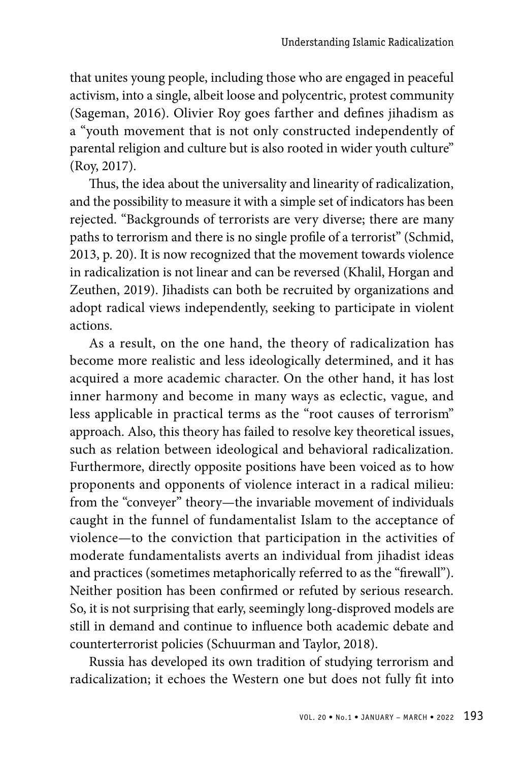that unites young people, including those who are engaged in peaceful activism, into a single, albeit loose and polycentric, protest community (Sageman, 2016). Olivier Roy goes farther and defines jihadism as a "youth movement that is not only constructed independently of parental religion and culture but is also rooted in wider youth culture" (Roy, 2017).

Thus, the idea about the universality and linearity of radicalization, and the possibility to measure it with a simple set of indicators has been rejected. "Backgrounds of terrorists are very diverse; there are many paths to terrorism and there is no single profile of a terrorist" (Schmid, 2013, p. 20). It is now recognized that the movement towards violence in radicalization is not linear and can be reversed (Khalil, Horgan and Zeuthen, 2019). Jihadists can both be recruited by organizations and adopt radical views independently, seeking to participate in violent actions.

As a result, on the one hand, the theory of radicalization has become more realistic and less ideologically determined, and it has acquired a more academic character. On the other hand, it has lost inner harmony and become in many ways as eclectic, vague, and less applicable in practical terms as the "root causes of terrorism" approach. Also, this theory has failed to resolve key theoretical issues, such as relation between ideological and behavioral radicalization. Furthermore, directly opposite positions have been voiced as to how proponents and opponents of violence interact in a radical milieu: from the "conveyer" theory—the invariable movement of individuals caught in the funnel of fundamentalist Islam to the acceptance of violence—to the conviction that participation in the activities of moderate fundamentalists averts an individual from jihadist ideas and practices (sometimes metaphorically referred to as the "firewall"). Neither position has been confirmed or refuted by serious research. So, it is not surprising that early, seemingly long-disproved models are still in demand and continue to influence both academic debate and counterterrorist policies (Schuurman and Taylor, 2018).

Russia has developed its own tradition of studying terrorism and radicalization; it echoes the Western one but does not fully fit into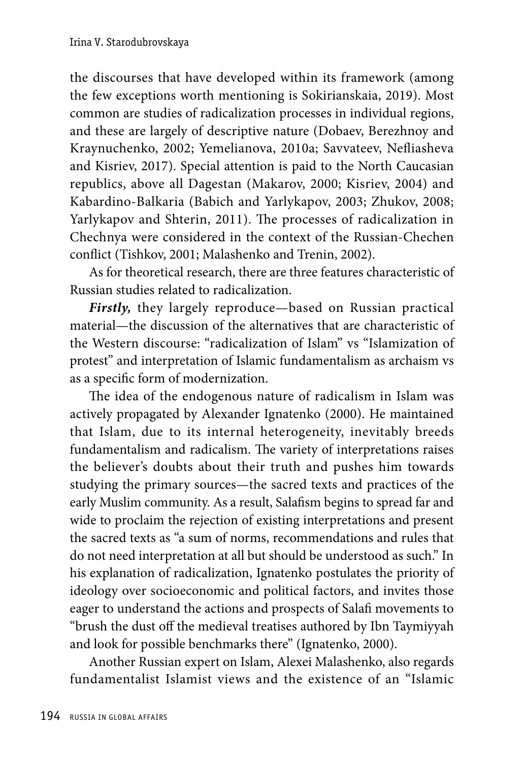the discourses that have developed within its framework (among the few exceptions worth mentioning is Sokirianskaia, 2019). Most common are studies of radicalization processes in individual regions, and these are largely of descriptive nature (Dobaev, Berezhnoy and Kraynuchenko, 2002; Yemelianova, 2010a; Savvateev, Nefliasheva and Kisriev, 2017). Special attention is paid to the North Caucasian republics, above all Dagestan (Makarov, 2000; Kisriev, 2004) and Kabardino-Balkaria (Babich and Yarlykapov, 2003; Zhukov, 2008; Yarlykapov and Shterin, 2011). The processes of radicalization in Chechnya were considered in the context of the Russian-Chechen conflict (Tishkov, 2001; Malashenko and Trenin, 2002).

As for theoretical research, there are three features characteristic of Russian studies related to radicalization.

*Firstly,* they largely reproduce—based on Russian practical material—the discussion of the alternatives that are characteristic of the Western discourse: "radicalization of Islam" vs "Islamization of protest" and interpretation of Islamic fundamentalism as archaism vs as a specific form of modernization.

The idea of the endogenous nature of radicalism in Islam was actively propagated by Alexander Ignatenko (2000). He maintained that Islam, due to its internal heterogeneity, inevitably breeds fundamentalism and radicalism. The variety of interpretations raises the believer's doubts about their truth and pushes him towards studying the primary sources—the sacred texts and practices of the early Muslim community. As a result, Salafism begins to spread far and wide to proclaim the rejection of existing interpretations and present the sacred texts as "a sum of norms, recommendations and rules that do not need interpretation at all but should be understood as such." In his explanation of radicalization, Ignatenko postulates the priority of ideology over socioeconomic and political factors, and invites those eager to understand the actions and prospects of Salafi movements to "brush the dust off the medieval treatises authored by Ibn Taymiyyah and look for possible benchmarks there" (Ignatenko, 2000).

Another Russian expert on Islam, Alexei Malashenko, also regards fundamentalist Islamist views and the existence of an "Islamic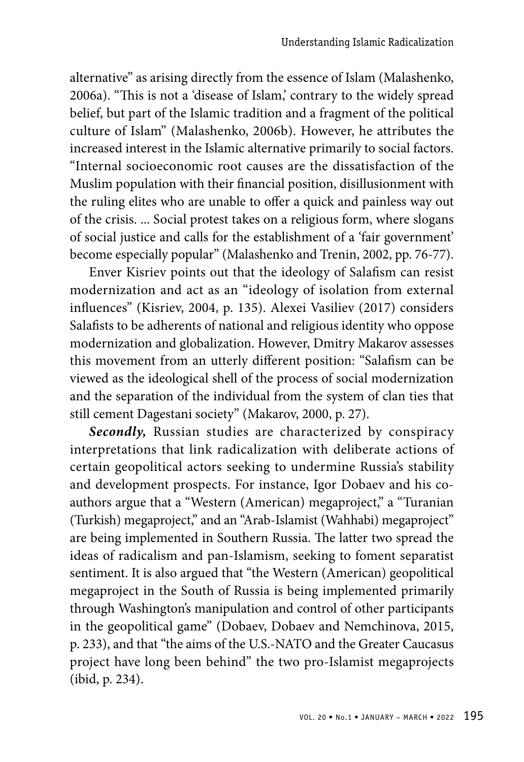alternative" as arising directly from the essence of Islam (Malashenko, 2006a). "This is not a 'disease of Islam,' contrary to the widely spread belief, but part of the Islamic tradition and a fragment of the political culture of Islam" (Malashenko, 2006b). However, he attributes the increased interest in the Islamic alternative primarily to social factors. "Internal socioeconomic root causes are the dissatisfaction of the Muslim population with their financial position, disillusionment with the ruling elites who are unable to offer a quick and painless way out of the crisis. ... Social protest takes on a religious form, where slogans of social justice and calls for the establishment of a 'fair government' become especially popular" (Malashenko and Trenin, 2002, pp. 76-77).

Enver Kisriev points out that the ideology of Salafism can resist modernization and act as an "ideology of isolation from external influences" (Kisriev, 2004, p. 135). Alexei Vasiliev (2017) considers Salafists to be adherents of national and religious identity who oppose modernization and globalization. However, Dmitry Makarov assesses this movement from an utterly different position: "Salafism can be viewed as the ideological shell of the process of social modernization and the separation of the individual from the system of clan ties that still cement Dagestani society" (Makarov, 2000, p. 27).

*Secondly,* Russian studies are characterized by conspiracy interpretations that link radicalization with deliberate actions of certain geopolitical actors seeking to undermine Russia's stability and development prospects. For instance, Igor Dobaev and his coauthors argue that a "Western (American) megaproject," a "Turanian (Turkish) megaproject," and an "Arab-Islamist (Wahhabi) megaproject" are being implemented in Southern Russia. The latter two spread the ideas of radicalism and pan-Islamism, seeking to foment separatist sentiment. It is also argued that "the Western (American) geopolitical megaproject in the South of Russia is being implemented primarily through Washington's manipulation and control of other participants in the geopolitical game" (Dobaev, Dobaev and Nemchinova, 2015, p. 233), and that "the aims of the U.S.-NATO and the Greater Caucasus project have long been behind" the two pro-Islamist megaprojects (ibid, p. 234).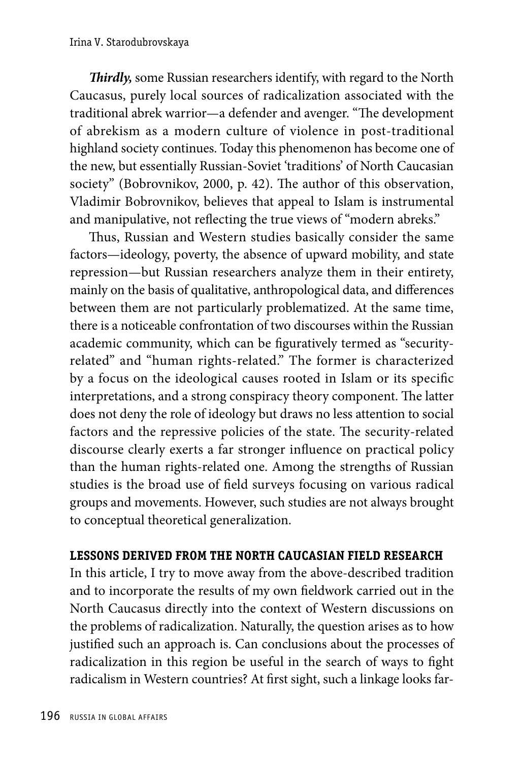*Thirdly,* some Russian researchers identify, with regard to the North Caucasus, purely local sources of radicalization associated with the traditional abrek warrior—a defender and avenger. "The development of abrekism as a modern culture of violence in post-traditional highland society continues. Today this phenomenon has become one of the new, but essentially Russian-Soviet 'traditions' of North Caucasian society" (Bobrovnikov, 2000, p. 42). The author of this observation, Vladimir Bobrovnikov, believes that appeal to Islam is instrumental and manipulative, not reflecting the true views of "modern abreks."

Thus, Russian and Western studies basically consider the same factors—ideology, poverty, the absence of upward mobility, and state repression—but Russian researchers analyze them in their entirety, mainly on the basis of qualitative, anthropological data, and differences between them are not particularly problematized. At the same time, there is a noticeable confrontation of two discourses within the Russian academic community, which can be figuratively termed as "securityrelated" and "human rights-related." The former is characterized by a focus on the ideological causes rooted in Islam or its specific interpretations, and a strong conspiracy theory component. The latter does not deny the role of ideology but draws no less attention to social factors and the repressive policies of the state. The security-related discourse clearly exerts a far stronger influence on practical policy than the human rights-related one. Among the strengths of Russian studies is the broad use of field surveys focusing on various radical groups and movements. However, such studies are not always brought to conceptual theoretical generalization.

# **LESSONS DERIVED FROM THE NORTH CAUCASIAN FIELD RESEARCH**

In this article, I try to move away from the above-described tradition and to incorporate the results of my own fieldwork carried out in the North Caucasus directly into the context of Western discussions on the problems of radicalization. Naturally, the question arises as to how justified such an approach is. Can conclusions about the processes of radicalization in this region be useful in the search of ways to fight radicalism in Western countries? At first sight, such a linkage looks far-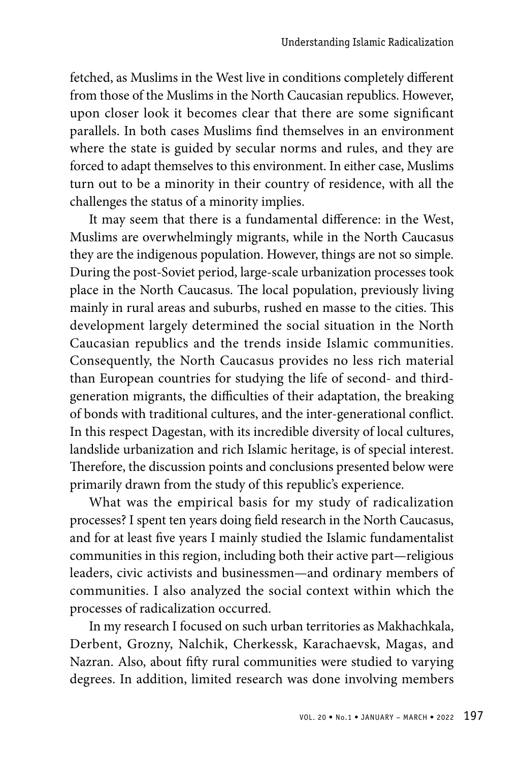fetched, as Muslims in the West live in conditions completely different from those of the Muslims in the North Caucasian republics. However, upon closer look it becomes clear that there are some significant parallels. In both cases Muslims find themselves in an environment where the state is guided by secular norms and rules, and they are forced to adapt themselves to this environment. In either case, Muslims turn out to be a minority in their country of residence, with all the challenges the status of a minority implies.

It may seem that there is a fundamental difference: in the West, Muslims are overwhelmingly migrants, while in the North Caucasus they are the indigenous population. However, things are not so simple. During the post-Soviet period, large-scale urbanization processes took place in the North Caucasus. The local population, previously living mainly in rural areas and suburbs, rushed en masse to the cities. This development largely determined the social situation in the North Caucasian republics and the trends inside Islamic communities. Consequently, the North Caucasus provides no less rich material than European countries for studying the life of second- and thirdgeneration migrants, the difficulties of their adaptation, the breaking of bonds with traditional cultures, and the inter-generational conflict. In this respect Dagestan, with its incredible diversity of local cultures, landslide urbanization and rich Islamic heritage, is of special interest. Therefore, the discussion points and conclusions presented below were primarily drawn from the study of this republic's experience.

What was the empirical basis for my study of radicalization processes? I spent ten years doing field research in the North Caucasus, and for at least five years I mainly studied the Islamic fundamentalist communities in this region, including both their active part—religious leaders, civic activists and businessmen—and ordinary members of communities. I also analyzed the social context within which the processes of radicalization occurred.

In my research I focused on such urban territories as Makhachkala, Derbent, Grozny, Nalchik, Cherkessk, Karachaevsk, Magas, and Nazran. Also, about fifty rural communities were studied to varying degrees. In addition, limited research was done involving members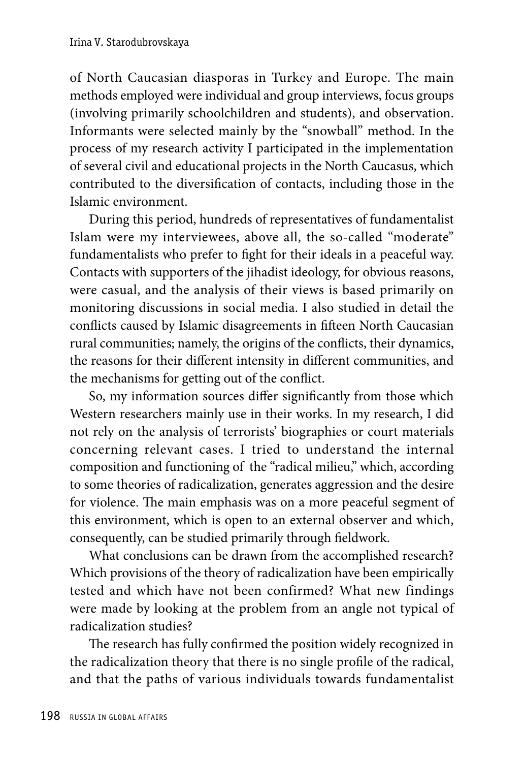of North Caucasian diasporas in Turkey and Europe. The main methods employed were individual and group interviews, focus groups (involving primarily schoolchildren and students), and observation. Informants were selected mainly by the "snowball" method. In the process of my research activity I participated in the implementation of several civil and educational projects in the North Caucasus, which contributed to the diversification of contacts, including those in the Islamic environment.

During this period, hundreds of representatives of fundamentalist Islam were my interviewees, above all, the so-called "moderate" fundamentalists who prefer to fight for their ideals in a peaceful way. Contacts with supporters of the jihadist ideology, for obvious reasons, were casual, and the analysis of their views is based primarily on monitoring discussions in social media. I also studied in detail the conflicts caused by Islamic disagreements in fifteen North Caucasian rural communities; namely, the origins of the conflicts, their dynamics, the reasons for their different intensity in different communities, and the mechanisms for getting out of the conflict.

So, my information sources differ significantly from those which Western researchers mainly use in their works. In my research, I did not rely on the analysis of terrorists' biographies or court materials concerning relevant cases. I tried to understand the internal composition and functioning of the "radical milieu," which, according to some theories of radicalization, generates aggression and the desire for violence. The main emphasis was on a more peaceful segment of this environment, which is open to an external observer and which, consequently, can be studied primarily through fieldwork.

What conclusions can be drawn from the accomplished research? Which provisions of the theory of radicalization have been empirically tested and which have not been confirmed? What new findings were made by looking at the problem from an angle not typical of radicalization studies?

The research has fully confirmed the position widely recognized in the radicalization theory that there is no single profile of the radical, and that the paths of various individuals towards fundamentalist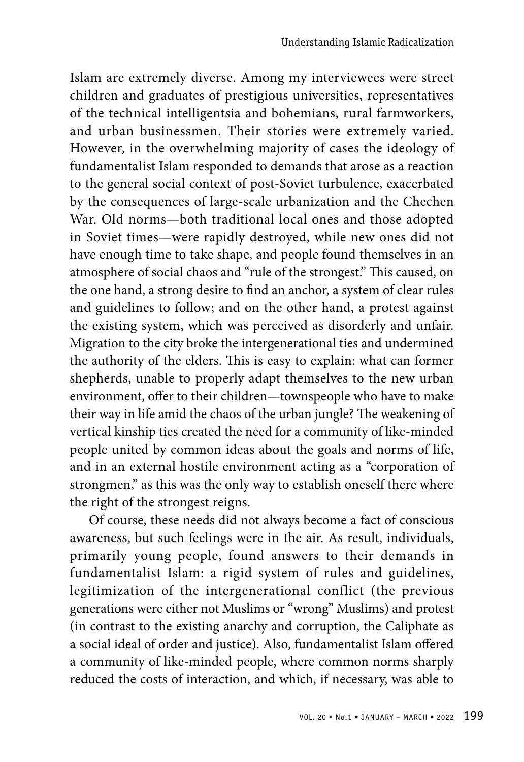Islam are extremely diverse. Among my interviewees were street children and graduates of prestigious universities, representatives of the technical intelligentsia and bohemians, rural farmworkers, and urban businessmen. Their stories were extremely varied. However, in the overwhelming majority of cases the ideology of fundamentalist Islam responded to demands that arose as a reaction to the general social context of post-Soviet turbulence, exacerbated by the consequences of large-scale urbanization and the Chechen War. Old norms—both traditional local ones and those adopted in Soviet times—were rapidly destroyed, while new ones did not have enough time to take shape, and people found themselves in an atmosphere of social chaos and "rule of the strongest." This caused, on the one hand, a strong desire to find an anchor, a system of clear rules and guidelines to follow; and on the other hand, a protest against the existing system, which was perceived as disorderly and unfair. Migration to the city broke the intergenerational ties and undermined the authority of the elders. This is easy to explain: what can former shepherds, unable to properly adapt themselves to the new urban environment, offer to their children—townspeople who have to make their way in life amid the chaos of the urban jungle? The weakening of vertical kinship ties created the need for a community of like-minded people united by common ideas about the goals and norms of life, and in an external hostile environment acting as a "corporation of strongmen," as this was the only way to establish oneself there where the right of the strongest reigns.

Of course, these needs did not always become a fact of conscious awareness, but such feelings were in the air. As result, individuals, primarily young people, found answers to their demands in fundamentalist Islam: a rigid system of rules and guidelines, legitimization of the intergenerational conflict (the previous generations were either not Muslims or "wrong" Muslims) and protest (in contrast to the existing anarchy and corruption, the Caliphate as a social ideal of order and justice). Also, fundamentalist Islam offered a community of like-minded people, where common norms sharply reduced the costs of interaction, and which, if necessary, was able to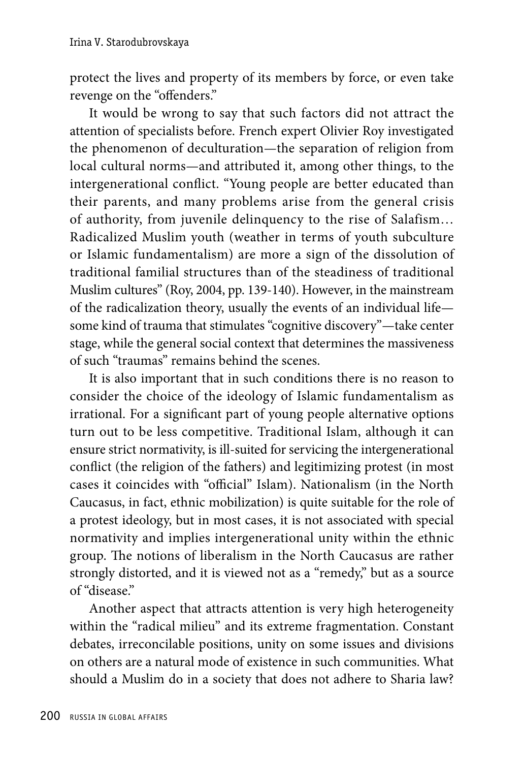protect the lives and property of its members by force, or even take revenge on the "offenders."

It would be wrong to say that such factors did not attract the attention of specialists before. French expert Olivier Roy investigated the phenomenon of deculturation—the separation of religion from local cultural norms—and attributed it, among other things, to the intergenerational conflict. "Young people are better educated than their parents, and many problems arise from the general crisis of authority, from juvenile delinquency to the rise of Salafism… Radicalized Muslim youth (weather in terms of youth subculture or Islamic fundamentalism) are more a sign of the dissolution of traditional familial structures than of the steadiness of traditional Muslim cultures" (Roy, 2004, pp. 139-140). However, in the mainstream of the radicalization theory, usually the events of an individual life some kind of trauma that stimulates "cognitive discovery"—take center stage, while the general social context that determines the massiveness of such "traumas" remains behind the scenes.

It is also important that in such conditions there is no reason to consider the choice of the ideology of Islamic fundamentalism as irrational. For a significant part of young people alternative options turn out to be less competitive. Traditional Islam, although it can ensure strict normativity, is ill-suited for servicing the intergenerational conflict (the religion of the fathers) and legitimizing protest (in most cases it coincides with "official" Islam). Nationalism (in the North Caucasus, in fact, ethnic mobilization) is quite suitable for the role of a protest ideology, but in most cases, it is not associated with special normativity and implies intergenerational unity within the ethnic group. The notions of liberalism in the North Caucasus are rather strongly distorted, and it is viewed not as a "remedy," but as a source of "disease."

Another aspect that attracts attention is very high heterogeneity within the "radical milieu" and its extreme fragmentation. Constant debates, irreconcilable positions, unity on some issues and divisions on others are a natural mode of existence in such communities. What should a Muslim do in a society that does not adhere to Sharia law?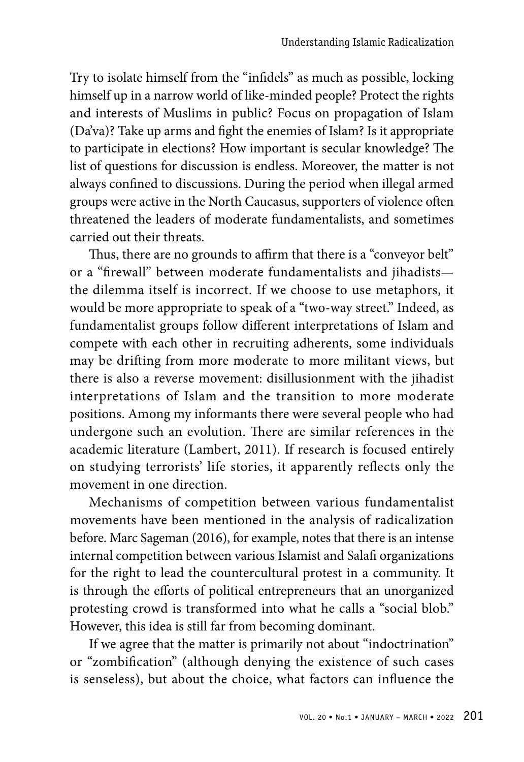Try to isolate himself from the "infidels" as much as possible, locking himself up in a narrow world of like-minded people? Protect the rights and interests of Muslims in public? Focus on propagation of Islam (Da'va)? Take up arms and fight the enemies of Islam? Is it appropriate to participate in elections? How important is secular knowledge? The list of questions for discussion is endless. Moreover, the matter is not always confined to discussions. During the period when illegal armed groups were active in the North Caucasus, supporters of violence often threatened the leaders of moderate fundamentalists, and sometimes carried out their threats.

Thus, there are no grounds to affirm that there is a "conveyor belt" or a "firewall" between moderate fundamentalists and jihadists the dilemma itself is incorrect. If we choose to use metaphors, it would be more appropriate to speak of a "two-way street." Indeed, as fundamentalist groups follow different interpretations of Islam and compete with each other in recruiting adherents, some individuals may be drifting from more moderate to more militant views, but there is also a reverse movement: disillusionment with the jihadist interpretations of Islam and the transition to more moderate positions. Among my informants there were several people who had undergone such an evolution. There are similar references in the academic literature (Lambert, 2011). If research is focused entirely on studying terrorists' life stories, it apparently reflects only the movement in one direction.

Mechanisms of competition between various fundamentalist movements have been mentioned in the analysis of radicalization before. Marc Sageman (2016), for example, notes that there is an intense internal competition between various Islamist and Salafi organizations for the right to lead the countercultural protest in a community. It is through the efforts of political entrepreneurs that an unorganized protesting crowd is transformed into what he calls a "social blob." However, this idea is still far from becoming dominant.

If we agree that the matter is primarily not about "indoctrination" or "zombification" (although denying the existence of such cases is senseless), but about the choice, what factors can influence the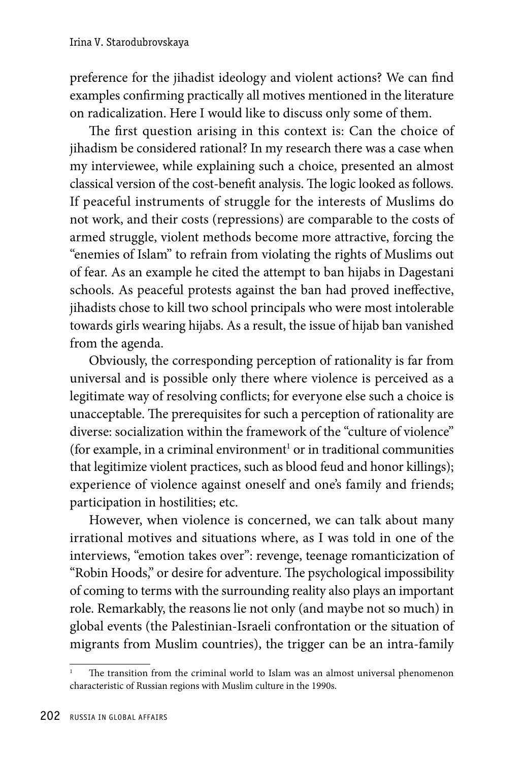preference for the jihadist ideology and violent actions? We can find examples confirming practically all motives mentioned in the literature on radicalization. Here I would like to discuss only some of them.

The first question arising in this context is: Can the choice of jihadism be considered rational? In my research there was a case when my interviewee, while explaining such a choice, presented an almost classical version of the cost-benefit analysis. The logic looked as follows. If peaceful instruments of struggle for the interests of Muslims do not work, and their costs (repressions) are comparable to the costs of armed struggle, violent methods become more attractive, forcing the "enemies of Islam" to refrain from violating the rights of Muslims out of fear. As an example he cited the attempt to ban hijabs in Dagestani schools. As peaceful protests against the ban had proved ineffective, jihadists chose to kill two school principals who were most intolerable towards girls wearing hijabs. As a result, the issue of hijab ban vanished from the agenda.

Obviously, the corresponding perception of rationality is far from universal and is possible only there where violence is perceived as a legitimate way of resolving conflicts; for everyone else such a choice is unacceptable. The prerequisites for such a perception of rationality are diverse: socialization within the framework of the "culture of violence" (for example, in a criminal environment<sup>1</sup> or in traditional communities that legitimize violent practices, such as blood feud and honor killings); experience of violence against oneself and one's family and friends; participation in hostilities; etc.

However, when violence is concerned, we can talk about many irrational motives and situations where, as I was told in one of the interviews, "emotion takes over": revenge, teenage romanticization of "Robin Hoods," or desire for adventure. The psychological impossibility of coming to terms with the surrounding reality also plays an important role. Remarkably, the reasons lie not only (and maybe not so much) in global events (the Palestinian-Israeli confrontation or the situation of migrants from Muslim countries), the trigger can be an intra-family

The transition from the criminal world to Islam was an almost universal phenomenon characteristic of Russian regions with Muslim culture in the 1990s.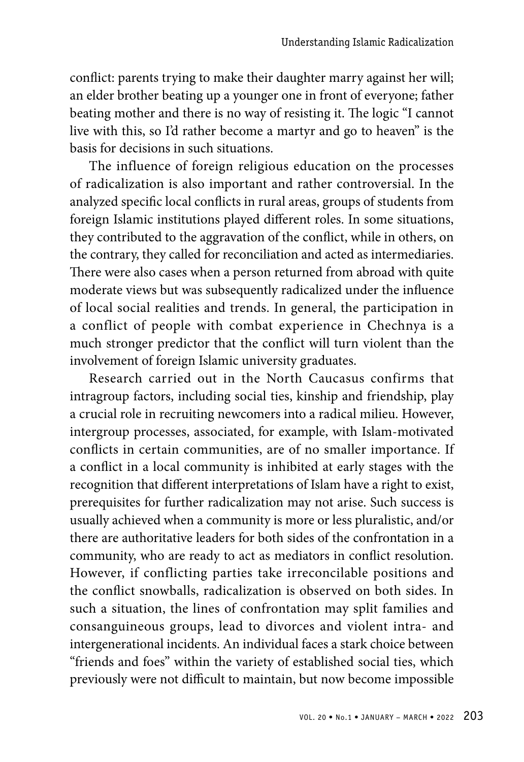conflict: parents trying to make their daughter marry against her will; an elder brother beating up a younger one in front of everyone; father beating mother and there is no way of resisting it. The logic "I cannot live with this, so I'd rather become a martyr and go to heaven" is the basis for decisions in such situations.

The influence of foreign religious education on the processes of radicalization is also important and rather controversial. In the analyzed specific local conflicts in rural areas, groups of students from foreign Islamic institutions played different roles. In some situations, they contributed to the aggravation of the conflict, while in others, on the contrary, they called for reconciliation and acted as intermediaries. There were also cases when a person returned from abroad with quite moderate views but was subsequently radicalized under the influence of local social realities and trends. In general, the participation in a conflict of people with combat experience in Chechnya is a much stronger predictor that the conflict will turn violent than the involvement of foreign Islamic university graduates.

Research carried out in the North Caucasus confirms that intragroup factors, including social ties, kinship and friendship, play a crucial role in recruiting newcomers into a radical milieu. However, intergroup processes, associated, for example, with Islam-motivated conflicts in certain communities, are of no smaller importance. If a conflict in a local community is inhibited at early stages with the recognition that different interpretations of Islam have a right to exist, prerequisites for further radicalization may not arise. Such success is usually achieved when a community is more or less pluralistic, and/or there are authoritative leaders for both sides of the confrontation in a community, who are ready to act as mediators in conflict resolution. However, if conflicting parties take irreconcilable positions and the conflict snowballs, radicalization is observed on both sides. In such a situation, the lines of confrontation may split families and consanguineous groups, lead to divorces and violent intra- and intergenerational incidents. An individual faces a stark choice between "friends and foes" within the variety of established social ties, which previously were not difficult to maintain, but now become impossible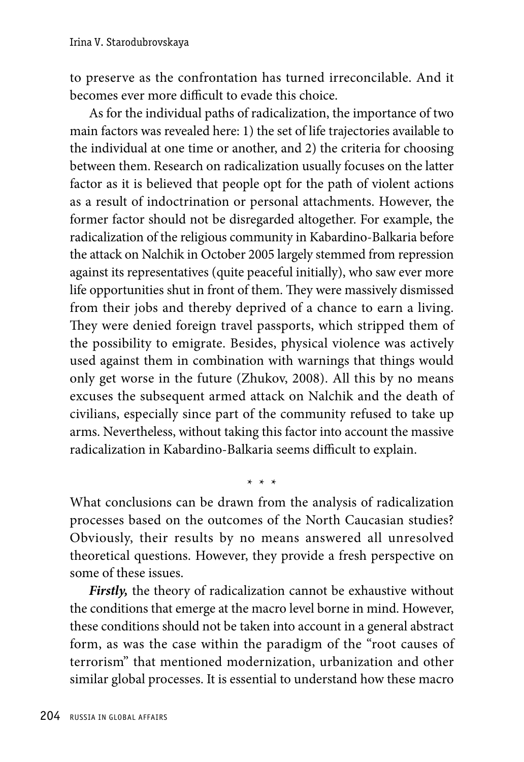to preserve as the confrontation has turned irreconcilable. And it becomes ever more difficult to evade this choice.

As for the individual paths of radicalization, the importance of two main factors was revealed here: 1) the set of life trajectories available to the individual at one time or another, and 2) the criteria for choosing between them. Research on radicalization usually focuses on the latter factor as it is believed that people opt for the path of violent actions as a result of indoctrination or personal attachments. However, the former factor should not be disregarded altogether. For example, the radicalization of the religious community in Kabardino-Balkaria before the attack on Nalchik in October 2005 largely stemmed from repression against its representatives (quite peaceful initially), who saw ever more life opportunities shut in front of them. They were massively dismissed from their jobs and thereby deprived of a chance to earn a living. They were denied foreign travel passports, which stripped them of the possibility to emigrate. Besides, physical violence was actively used against them in combination with warnings that things would only get worse in the future (Zhukov, 2008). All this by no means excuses the subsequent armed attack on Nalchik and the death of civilians, especially since part of the community refused to take up arms. Nevertheless, without taking this factor into account the massive radicalization in Kabardino-Balkaria seems difficult to explain.

What conclusions can be drawn from the analysis of radicalization processes based on the outcomes of the North Caucasian studies? Obviously, their results by no means answered all unresolved theoretical questions. However, they provide a fresh perspective on some of these issues.

\* \* \*

*Firstly,* the theory of radicalization cannot be exhaustive without the conditions that emerge at the macro level borne in mind. However, these conditions should not be taken into account in a general abstract form, as was the case within the paradigm of the "root causes of terrorism" that mentioned modernization, urbanization and other similar global processes. It is essential to understand how these macro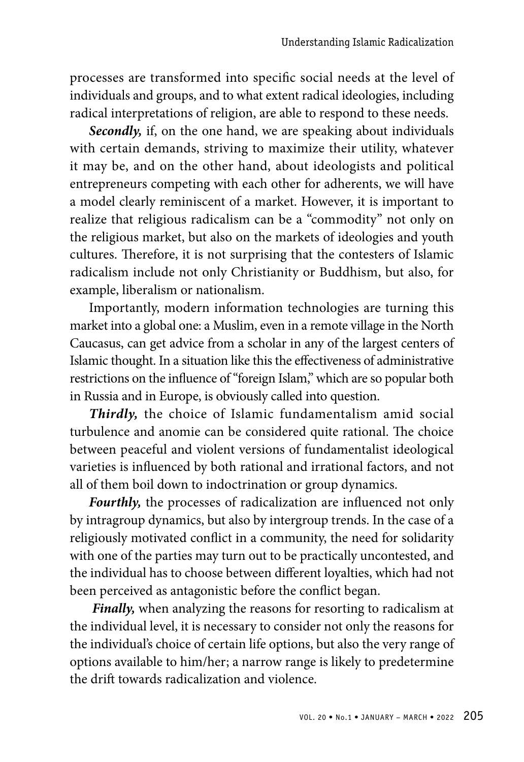processes are transformed into specific social needs at the level of individuals and groups, and to what extent radical ideologies, including radical interpretations of religion, are able to respond to these needs.

*Secondly,* if, on the one hand, we are speaking about individuals with certain demands, striving to maximize their utility, whatever it may be, and on the other hand, about ideologists and political entrepreneurs competing with each other for adherents, we will have a model clearly reminiscent of a market. However, it is important to realize that religious radicalism can be a "commodity" not only on the religious market, but also on the markets of ideologies and youth cultures. Therefore, it is not surprising that the contesters of Islamic radicalism include not only Christianity or Buddhism, but also, for example, liberalism or nationalism.

Importantly, modern information technologies are turning this market into a global one: a Muslim, even in a remote village in the North Caucasus, can get advice from a scholar in any of the largest centers of Islamic thought. In a situation like this the effectiveness of administrative restrictions on the influence of "foreign Islam," which are so popular both in Russia and in Europe, is obviously called into question.

*Thirdly,* the choice of Islamic fundamentalism amid social turbulence and anomie can be considered quite rational. The choice between peaceful and violent versions of fundamentalist ideological varieties is influenced by both rational and irrational factors, and not all of them boil down to indoctrination or group dynamics.

*Fourthly,* the processes of radicalization are influenced not only by intragroup dynamics, but also by intergroup trends. In the case of a religiously motivated conflict in a community, the need for solidarity with one of the parties may turn out to be practically uncontested, and the individual has to choose between different loyalties, which had not been perceived as antagonistic before the conflict began.

*Finally,* when analyzing the reasons for resorting to radicalism at the individual level, it is necessary to consider not only the reasons for the individual's choice of certain life options, but also the very range of options available to him/her; a narrow range is likely to predetermine the drift towards radicalization and violence.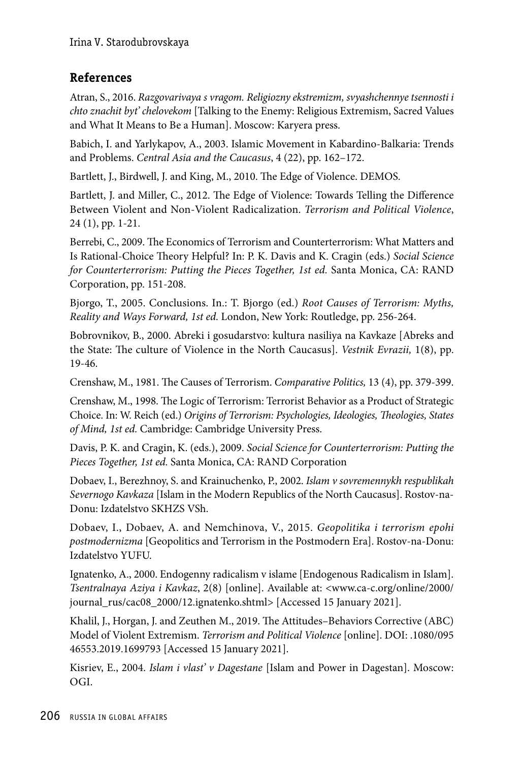### **References**

Atran, S., 2016. *Razgovarivaya s vragom. Religiozny ekstremizm, svyashchennye tsennosti i chto znachit byt' chelovekom* [Talking to the Enemy: Religious Extremism, Sacred Values and What It Means to Be a Human]. Mosсow: Karyera press.

Babich, I. and Yarlykapov, A., 2003. Islamic Movement in Kabardino-Balkaria: Trends and Problems. *Central Asia and the Caucasus*, 4 (22), pp. 162–172.

Bartlett, J., Birdwell, J. and King, M., 2010. The Edge of Violence. DEMOS.

Bartlett, J. and Miller, C., 2012. The Edge of Violence: Towards Telling the Difference Between Violent and Non-Violent Radicalization. *Terrorism and Political Violence*, 24 (1), pp. 1-21.

Berrebi, C., 2009. The Economics of Terrorism and Counterterrorism: What Matters and Is Rational-Choice Theory Helpful? In: P. K. Davis and K. Cragin (eds.) *Social Science for Counterterrorism: Putting the Pieces Together, 1st ed.* Santa Monica, CA: RAND Corporation, pp. 151-208.

Bjorgo, T., 2005. Conclusions. In.: T. Bjorgo (ed.) *Root Causes of Terrorism: Myths, Reality and Ways Forward, 1st ed.* London, New York: Routledge, pp. 256-264.

Bobrovnikov, B., 2000. Abreki i gosudarstvo: kultura nasiliya na Kavkaze [Abreks and the State: The culture of Violence in the North Caucasus]. *Vestnik Evrazii,* 1(8), pp. 19-46.

Crenshaw, M., 1981. The Causes of Terrorism. *Comparative Politics,* 13 (4), pp. 379-399.

Crenshaw, M., 1998. The Logic of Terrorism: Terrorist Behavior as a Product of Strategic Choice. In: W. Reich (ed.) *Origins of Terrorism: Psychologies, Ideologies, Theologies, States of Mind, 1st ed.* Cambridge: Cambridge University Press.

Davis, P. K. and Cragin, K. (eds.), 2009. *Social Science for Counterterrorism: Putting the Pieces Together, 1st ed.* Santa Monica, CA: RAND Corporation

Dobaev, I., Berezhnoy, S. and Krainuchenko, P., 2002. *Islam v sovremennykh respublikah Severnogo Kavkaza* [Islam in the Modern Republics of the North Caucasus]. Rostov-na-Donu: Izdatelstvo SKHZS VSh.

Dobaev, I., Dobaev, A. and Nemchinova, V., 2015. *Geopolitika i terrorism epohi postmodernizma* [Geopolitics and Terrorism in the Postmodern Era]. Rostov-na-Donu: Izdatelstvo YUFU.

Ignatenko, A., 2000. Endogenny radicalism v islame [Endogenous Radicalism in Islam]. *Tsentralnaya Aziya i Kavkaz*, 2(8) [online]. Available at: <www.ca-c.org/online/2000/ journal\_rus/cac08\_2000/12.ignatenko.shtml> [Accessed 15 January 2021].

Khalil, J., Horgan, J. and Zeuthen M., 2019. The Attitudes–Behaviors Corrective (ABC) Model of Violent Extremism. *Terrorism and Political Violence* [online]. DOI: .1080/095 46553.2019.1699793 [Accessed 15 January 2021].

Kisriev, E., 2004. *Islam i vlast' v Dagestane* [Islam and Power in Dagestan]. Moscow: OGI.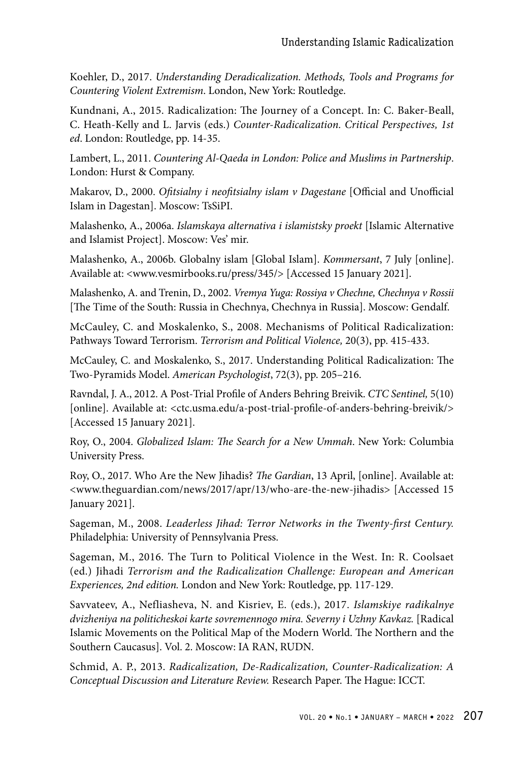Koehler, D., 2017. *Understanding Deradicalization. Methods, Tools and Programs for Countering Violent Extremism*. London, New York: Routledge.

Kundnani, A., 2015. Radicalization: The Journey of a Concept. In: C. Baker-Beall, C. Heath-Kelly and L. Jarvis (eds.) *Counter-Radicalization. Critical Perspectives, 1st ed*. London: Routledge, pp. 14-35.

Lambert, L., 2011. *Countering Al-Qaeda in London: Police and Muslims in Partnership*. London: Hurst & Company.

Makarov, D., 2000. *Ofitsialny i neofitsialny islam v Dagestane* [Official and Unofficial Islam in Dagestan]. Moscow: TsSiPI.

Malashenko, A., 2006a. *Islamskaya alternativa i islamistsky proekt* [Islamic Alternative and Islamist Project]. Moscow: Ves' mir.

Malashenko, A., 2006b. Globalny islam [Global Islam]. *Kommersant*, 7 July [online]. Available at: <www.vesmirbooks.ru/press/345/> [Accessed 15 January 2021].

Malashenko, A. and Trenin, D., 2002. *Vremya Yuga: Rossiya v Chechne, Chechnya v Rossii* [The Time of the South: Russia in Chechnya, Chechnya in Russia]. Moscow: Gendalf.

McCauley, C. and Moskalenko, S., 2008. Mechanisms of Political Radicalization: Pathways Toward Terrorism. *Terrorism and Political Violence,* 20(3), pp. 415-433.

McCauley, C. and Moskalenko, S., 2017. Understanding Political Radicalization: The Two-Pyramids Model. *American Psychologist*, 72(3), pp. 205–216.

Ravndal, J. A., 2012. A Post-Trial Profile of Anders Behring Breivik. *CTC Sentinel,* 5(10) [online]. Available at: <ctc.usma.edu/a-post-trial-profile-of-anders-behring-breivik/> [Accessed 15 January 2021].

Roy, O., 2004. *Globalized Islam: The Search for a New Ummah*. New York: Columbia University Press.

Roy, O., 2017. Who Are the New Jihadis? *The Gardian*, 13 April, [online]. Available at: <www.theguardian.com/news/2017/apr/13/who-are-the-new-jihadis> [Accessed 15 January 2021].

Sageman, M., 2008. *Leaderless Jihad: Terror Networks in the Twenty-first Century.* Philadelphia: University of Pennsylvania Press.

Sageman, M., 2016. The Turn to Political Violence in the West. In: R. Coolsaet (ed.) Jihadi *Terrorism and the Radicalization Challenge: European and American Experiences, 2nd edition.* London and New York: Routledge, pp. 117-129.

Savvateev, A., Nefliasheva, N. and Kisriev, E. (eds.), 2017. *Islamskiye radikalnye dvizheniya na politicheskoi karte sovremennogo mira. Severny i Uzhny Kavkaz.* [Radical Islamic Movements on the Political Map of the Modern World. The Northern and the Southern Caucasus]. Vol. 2. Moscow: IA RAN, RUDN.

Schmid, A. P., 2013. *Radicalization, De-Radicalization, Counter-Radicalization: A Conceptual Discussion and Literature Review.* Research Paper. The Hague: ICCT.